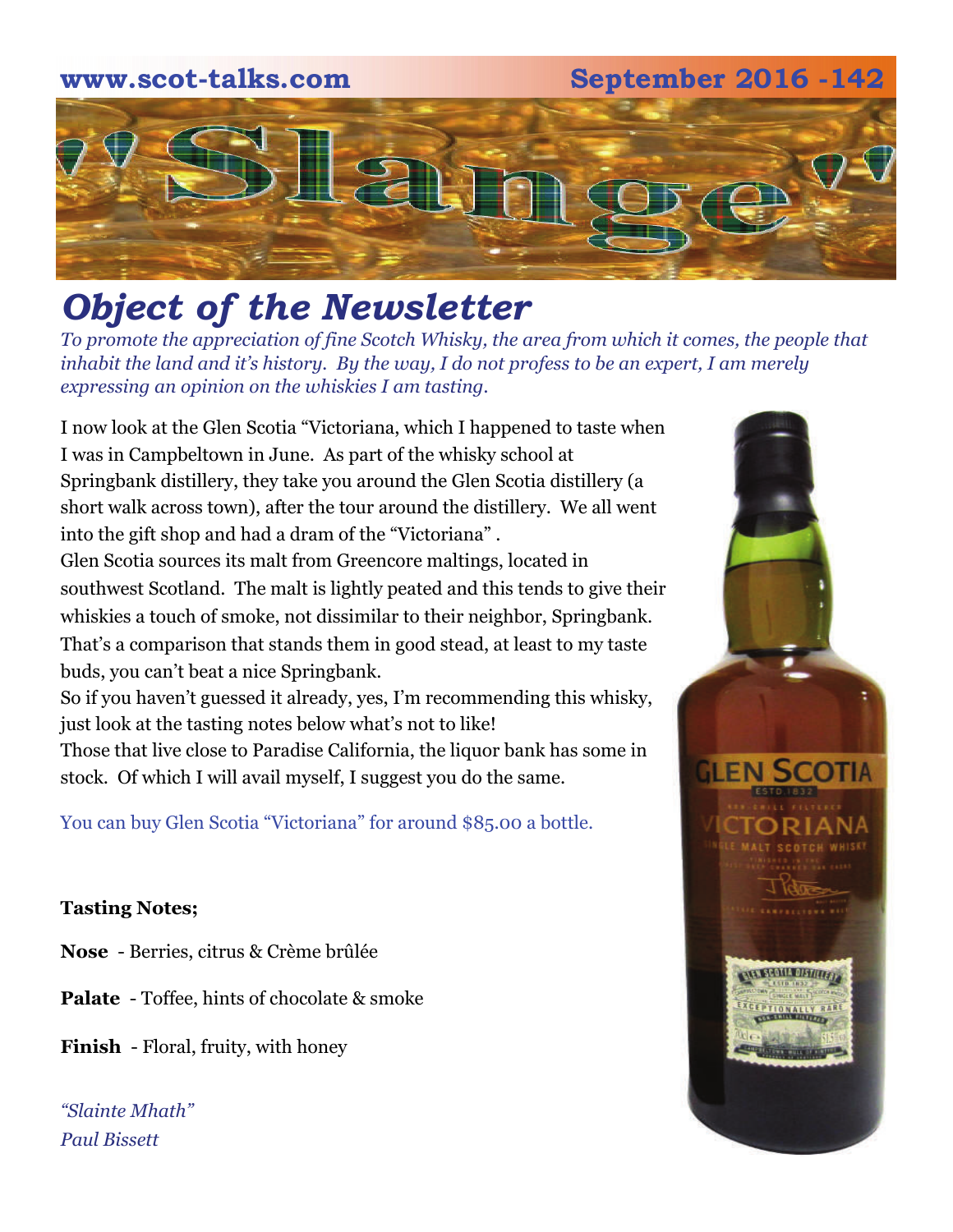### **www.scot-talks.com September 2016 -142**



# *Object of the Newsletter*

*To promote the appreciation of fine Scotch Whisky, the area from which it comes, the people that inhabit the land and it's history. By the way, I do not profess to be an expert, I am merely expressing an opinion on the whiskies I am tasting.* 

I now look at the Glen Scotia "Victoriana, which I happened to taste when I was in Campbeltown in June. As part of the whisky school at Springbank distillery, they take you around the Glen Scotia distillery (a short walk across town), after the tour around the distillery. We all went into the gift shop and had a dram of the "Victoriana" . Glen Scotia sources its malt from Greencore maltings, located in southwest Scotland. The malt is lightly peated and this tends to give their whiskies a touch of smoke, not dissimilar to their neighbor, Springbank. That's a comparison that stands them in good stead, at least to my taste buds, you can't beat a nice Springbank. So if you haven't guessed it already, yes, I'm recommending this whisky, just look at the tasting notes below what's not to like!

Those that live close to Paradise California, the liquor bank has some in stock. Of which I will avail myself, I suggest you do the same.

You can buy Glen Scotia "Victoriana" for around \$85.00 a bottle.

### **Tasting Notes;**

- **Nose**  Berries, citrus & Crème brûlée
- **Palate**  Toffee, hints of chocolate & smoke
- **Finish**  Floral, fruity, with honey

*"Slainte Mhath" Paul Bissett*

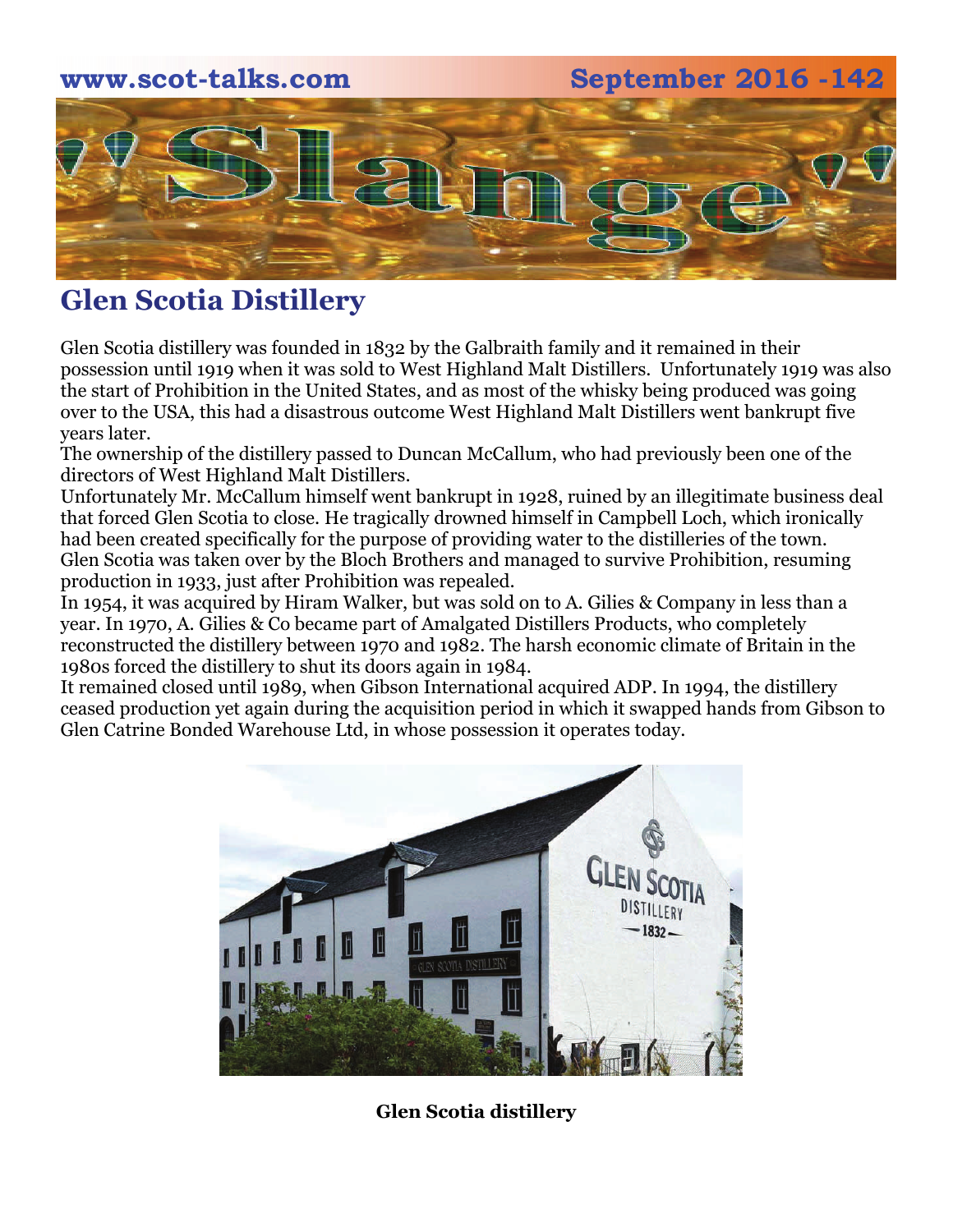### **www.scot-talks.com September 2016 -142**



### **Glen Scotia Distillery**

Glen Scotia distillery was founded in 1832 by the Galbraith family and it remained in their possession until 1919 when it was sold to West Highland Malt Distillers. Unfortunately 1919 was also the start of Prohibition in the United States, and as most of the whisky being produced was going over to the USA, this had a disastrous outcome West Highland Malt Distillers went bankrupt five years later.

The ownership of the distillery passed to Duncan McCallum, who had previously been one of the directors of West Highland Malt Distillers.

Unfortunately Mr. McCallum himself went bankrupt in 1928, ruined by an illegitimate business deal that forced Glen Scotia to close. He tragically drowned himself in Campbell Loch, which ironically had been created specifically for the purpose of providing water to the distilleries of the town. Glen Scotia was taken over by the Bloch Brothers and managed to survive Prohibition, resuming production in 1933, just after Prohibition was repealed.

In 1954, it was acquired by Hiram Walker, but was sold on to A. Gilies & Company in less than a year. In 1970, A. Gilies & Co became part of Amalgated Distillers Products, who completely reconstructed the distillery between 1970 and 1982. The harsh economic climate of Britain in the 1980s forced the distillery to shut its doors again in 1984.

It remained closed until 1989, when Gibson International acquired ADP. In 1994, the distillery ceased production yet again during the acquisition period in which it swapped hands from Gibson to Glen Catrine Bonded Warehouse Ltd, in whose possession it operates today.



**Glen Scotia distillery**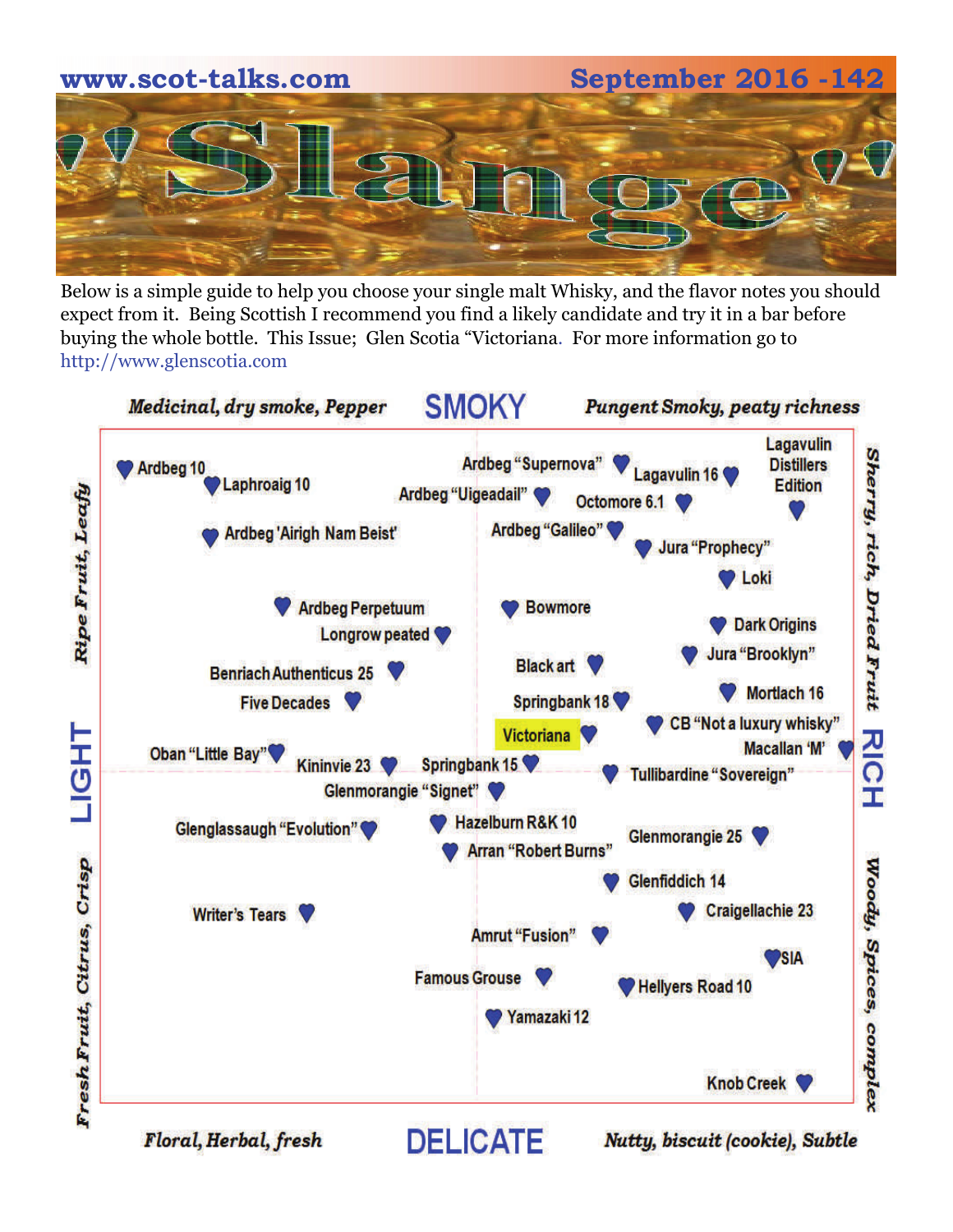

Below is a simple guide to help you choose your single malt Whisky, and the flavor notes you should expect from it. Being Scottish I recommend you find a likely candidate and try it in a bar before buying the whole bottle. This Issue; Glen Scotia "Victoriana. For more information go to http://www.glenscotia.com



Floral, Herbal, fresh

Nutty, biscuit (cookie), Subtle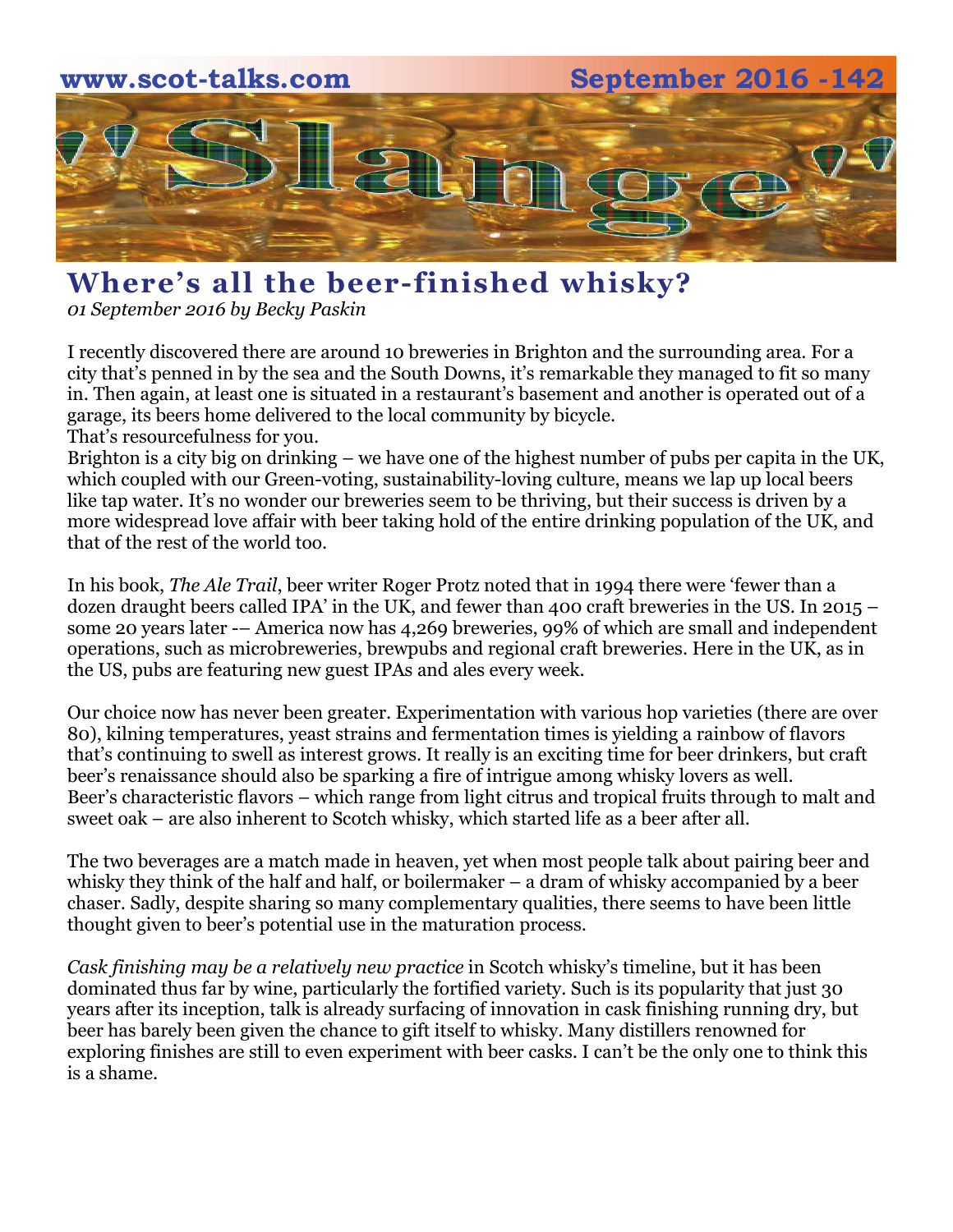

## **Where's all the beer-finished whisky?**

*01 September 2016 by [Becky Paskin](https://scotchwhisky.com/magazine/editor/2735/becky-paskin/)*

I recently discovered there are around 10 breweries in Brighton and the surrounding area. For a city that's penned in by the sea and the South Downs, it's remarkable they managed to fit so many in. Then again, at least one is situated in a restaurant's basement and another is operated out of a garage, its beers home delivered to the local community by bicycle. That's resourcefulness for you.

Brighton is a city big on drinking – we have one of the highest number of pubs per capita in the UK, which coupled with our Green-voting, sustainability-loving culture, means we lap up local beers like tap water. It's no wonder our breweries seem to be thriving, but their success is driven by a more widespread love affair with beer taking hold of the entire drinking population of the UK, and that of the rest of the world too.

In his book, *The Ale Trail*, beer writer Roger Protz noted that in 1994 there were 'fewer than a dozen draught beers called IPA' in the UK, and fewer than 400 craft breweries in the US. In 2015 – some 20 years later -– America now has 4,269 breweries, 99% of which are small and independent operations, such as microbreweries, brewpubs and regional craft breweries. Here in the UK, as in the US, pubs are featuring new guest IPAs and ales every week.

Our choice now has never been greater. Experimentation with various hop varieties (there are over 80), kilning temperatures, yeast strains and fermentation times is yielding a rainbow of flavors that's continuing to swell as interest grows. It really is an exciting time for beer drinkers, but craft beer's renaissance should also be sparking a fire of intrigue among whisky lovers as well. Beer's characteristic flavors – which range from light citrus and tropical fruits through to malt and sweet oak – are also inherent to Scotch whisky, which started life as a beer after all.

The two beverages are a match made in heaven, yet when most people talk about pairing beer and whisky they think of the half and half, or boilermaker – a dram of whisky accompanied by a beer chaser. Sadly, despite sharing so many complementary qualities, there seems to have been little thought given to beer's potential use in the maturation process.

*[Cask finishing may be a relatively new practice](https://scotchwhisky.com/magazine/features/10021/the-mysteries-of-cask-finishing/)* in Scotch whisky's timeline, but it has been dominated thus far by wine, particularly the fortified variety. Such is its popularity that just 30 years after its inception, talk is already surfacing of innovation in cask finishing running dry, but beer has barely been given the chance to gift itself to whisky. Many distillers renowned for exploring finishes are still to even experiment with beer casks. I can't be the only one to think this is a shame.